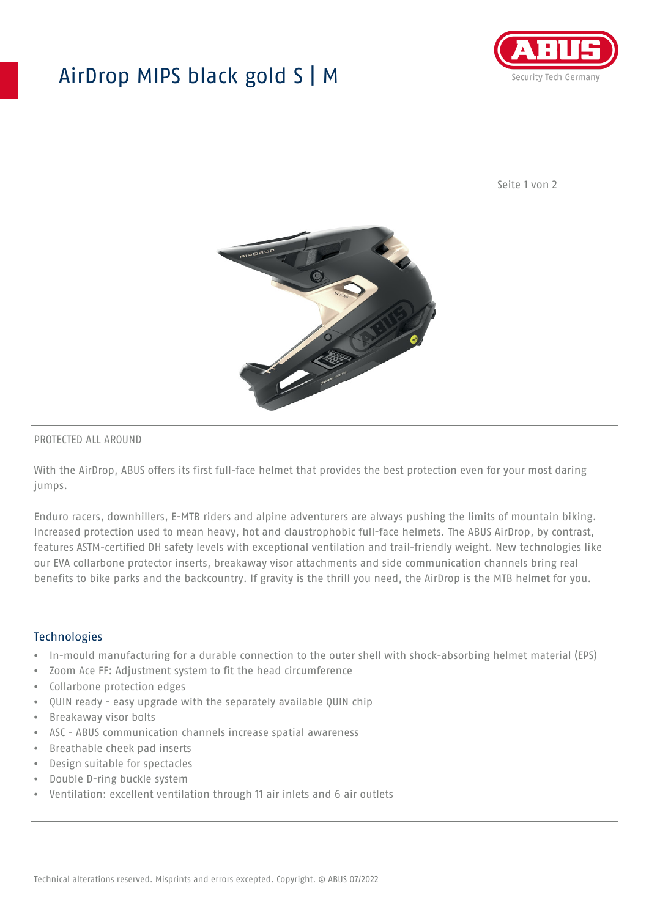## AirDrop MIPS black gold S | M



Seite 1 von 2



#### PROTECTED ALL AROUND

With the AirDrop, ABUS offers its first full-face helmet that provides the best protection even for your most daring jumps.

Enduro racers, downhillers, E-MTB riders and alpine adventurers are always pushing the limits of mountain biking. Increased protection used to mean heavy, hot and claustrophobic full-face helmets. The ABUS AirDrop, by contrast, features ASTM-certified DH safety levels with exceptional ventilation and trail-friendly weight. New technologies like our EVA collarbone protector inserts, breakaway visor attachments and side communication channels bring real benefits to bike parks and the backcountry. If gravity is the thrill you need, the AirDrop is the MTB helmet for you.

#### **Technologies**

- In-mould manufacturing for a durable connection to the outer shell with shock-absorbing helmet material (EPS)
- Zoom Ace FF: Adjustment system to fit the head circumference
- Collarbone protection edges
- QUIN ready easy upgrade with the separately available QUIN chip
- Breakaway visor bolts
- ASC ABUS communication channels increase spatial awareness
- Breathable cheek pad inserts
- Design suitable for spectacles
- Double D-ring buckle system
- Ventilation: excellent ventilation through 11 air inlets and 6 air outlets